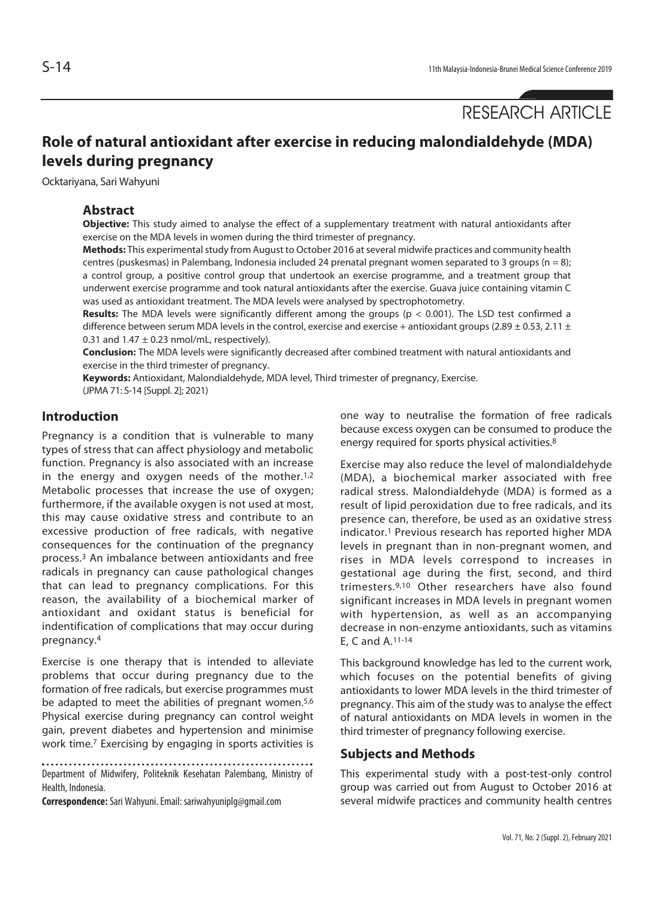RESEARCH ARTICLE

# **Role of natural antioxidant after exercise in reducing malondialdehyde (MDA) levels during pregnancy**

Ocktariyana, Sari Wahyuni

#### **Abstract**

**Objective:** This study aimed to analyse the effect of a supplementary treatment with natural antioxidants after exercise on the MDA levels in women during the third trimester of pregnancy.

**Methods:** This experimental study from August to October 2016 at several midwife practices and community health centres (puskesmas) in Palembang, Indonesia included 24 prenatal pregnant women separated to 3 groups ( $n = 8$ ); a control group, a positive control group that undertook an exercise programme, and a treatment group that underwent exercise programme and took natural antioxidants after the exercise. Guava juice containing vitamin C was used as antioxidant treatment. The MDA levels were analysed by spectrophotometry.

**Results:** The MDA levels were significantly different among the groups (p < 0.001). The LSD test confirmed a difference between serum MDA levels in the control, exercise and exercise + antioxidant groups (2.89  $\pm$  0.53, 2.11  $\pm$ 0.31 and  $1.47 \pm 0.23$  nmol/mL, respectively).

**Conclusion:** The MDA levels were significantly decreased after combined treatment with natural antioxidants and exercise in the third trimester of pregnancy.

**Keywords:** Antioxidant, Malondialdehyde, MDA level, Third trimester of pregnancy, Exercise. (JPMA 71: S-14 [Suppl. 2]; 2021)

# **Introduction**

Pregnancy is a condition that is vulnerable to many types of stress that can affect physiology and metabolic function. Pregnancy is also associated with an increase in the energy and oxygen needs of the mother. $1,2$ Metabolic processes that increase the use of oxygen; furthermore, if the available oxygen is not used at most, this may cause oxidative stress and contribute to an excessive production of free radicals, with negative consequences for the continuation of the pregnancy process.3 An imbalance between antioxidants and free radicals in pregnancy can cause pathological changes that can lead to pregnancy complications. For this reason, the availability of a biochemical marker of antioxidant and oxidant status is beneficial for indentification of complications that may occur during pregnancy.4

Exercise is one therapy that is intended to alleviate problems that occur during pregnancy due to the formation of free radicals, but exercise programmes must be adapted to meet the abilities of pregnant women.<sup>5,6</sup> Physical exercise during pregnancy can control weight gain, prevent diabetes and hypertension and minimise work time.7 Exercising by engaging in sports activities is

Department of Midwifery, Politeknik Kesehatan Palembang, Ministry of Health, Indonesia.

**Correspondence:** Sari Wahyuni. Email: sariwahyuniplg@gmail.com

one way to neutralise the formation of free radicals because excess oxygen can be consumed to produce the energy required for sports physical activities.8

Exercise may also reduce the level of malondialdehyde (MDA), a biochemical marker associated with free radical stress. Malondialdehyde (MDA) is formed as a result of lipid peroxidation due to free radicals, and its presence can, therefore, be used as an oxidative stress indicator.1 Previous research has reported higher MDA levels in pregnant than in non-pregnant women, and rises in MDA levels correspond to increases in gestational age during the first, second, and third trimesters.9,10 Other researchers have also found significant increases in MDA levels in pregnant women with hypertension, as well as an accompanying decrease in non-enzyme antioxidants, such as vitamins E, C and A.11-14

This background knowledge has led to the current work, which focuses on the potential benefits of giving antioxidants to lower MDA levels in the third trimester of pregnancy. This aim of the study was to analyse the effect of natural antioxidants on MDA levels in women in the third trimester of pregnancy following exercise.

### **Subjects and Methods**

This experimental study with a post-test-only control group was carried out from August to October 2016 at several midwife practices and community health centres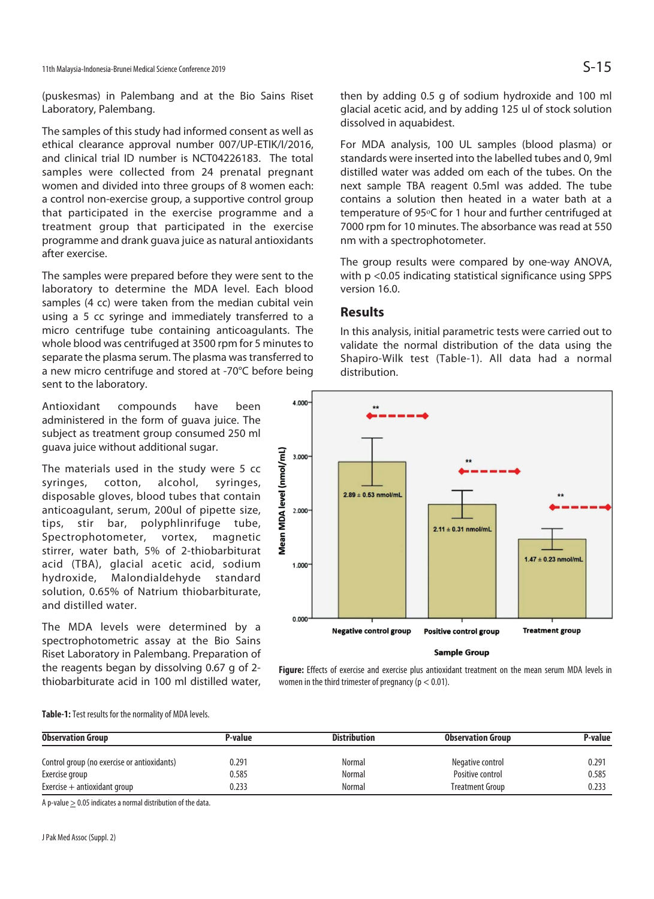(puskesmas) in Palembang and at the Bio Sains Riset Laboratory, Palembang.

The samples of this study had informed consent as well as ethical clearance approval number 007/UP-ETIK/I/2016, and clinical trial ID number is NCT04226183. The total samples were collected from 24 prenatal pregnant women and divided into three groups of 8 women each: a control non-exercise group, a supportive control group that participated in the exercise programme and a treatment group that participated in the exercise programme and drank guava juice as natural antioxidants after exercise.

The samples were prepared before they were sent to the laboratory to determine the MDA level. Each blood samples (4 cc) were taken from the median cubital vein using a 5 cc syringe and immediately transferred to a micro centrifuge tube containing anticoagulants. The whole blood was centrifuged at 3500 rpm for 5 minutes to separate the plasma serum. The plasma was transferred to a new micro centrifuge and stored at -70°C before being sent to the laboratory.

Antioxidant compounds have been administered in the form of guava juice. The subject as treatment group consumed 250 ml guava juice without additional sugar.

The materials used in the study were 5 cc syringes, cotton, alcohol, syringes, disposable gloves, blood tubes that contain anticoagulant, serum, 200ul of pipette size, tips, stir bar, polyphlinrifuge tube, Spectrophotometer, vortex, magnetic stirrer, water bath, 5% of 2-thiobarbiturat acid (TBA), glacial acetic acid, sodium hydroxide, Malondialdehyde standard solution, 0.65% of Natrium thiobarbiturate, and distilled water.

The MDA levels were determined by a spectrophotometric assay at the Bio Sains Riset Laboratory in Palembang. Preparation of the reagents began by dissolving 0.67 g of 2 thiobarbiturate acid in 100 ml distilled water, then by adding 0.5 g of sodium hydroxide and 100 ml glacial acetic acid, and by adding 125 ul of stock solution dissolved in aquabidest.

For MDA analysis, 100 UL samples (blood plasma) or standards were inserted into the labelled tubes and 0, 9ml distilled water was added om each of the tubes. On the next sample TBA reagent 0.5ml was added. The tube contains a solution then heated in a water bath at a temperature of 95°C for 1 hour and further centrifuged at 7000 rpm for 10 minutes. The absorbance was read at 550 nm with a spectrophotometer.

The group results were compared by one-way ANOVA, with p <0.05 indicating statistical significance using SPPS version 16.0.

### **Results**

In this analysis, initial parametric tests were carried out to validate the normal distribution of the data using the Shapiro-Wilk test (Table-1). All data had a normal distribution.



**Sample Group** 

**Figure:** Effects of exercise and exercise plus antioxidant treatment on the mean serum MDA levels in women in the third trimester of pregnancy ( $p < 0.01$ ).

**Table-1:** Test results for the normality of MDA levels.

| <b>Observation Group</b>                    | P-value | <b>Distribution</b> | <b>Observation Group</b> | P-value |
|---------------------------------------------|---------|---------------------|--------------------------|---------|
| Control group (no exercise or antioxidants) | 0.291   | Normal              | Negative control         | 0.291   |
| Exercise group                              | 0.585   | Normal              | Positive control         | 0.585   |
| Exercise $+$ antioxidant group              | 0.233   | Normal              | <b>Treatment Group</b>   | 0.233   |

A p-value > 0.05 indicates a normal distribution of the data.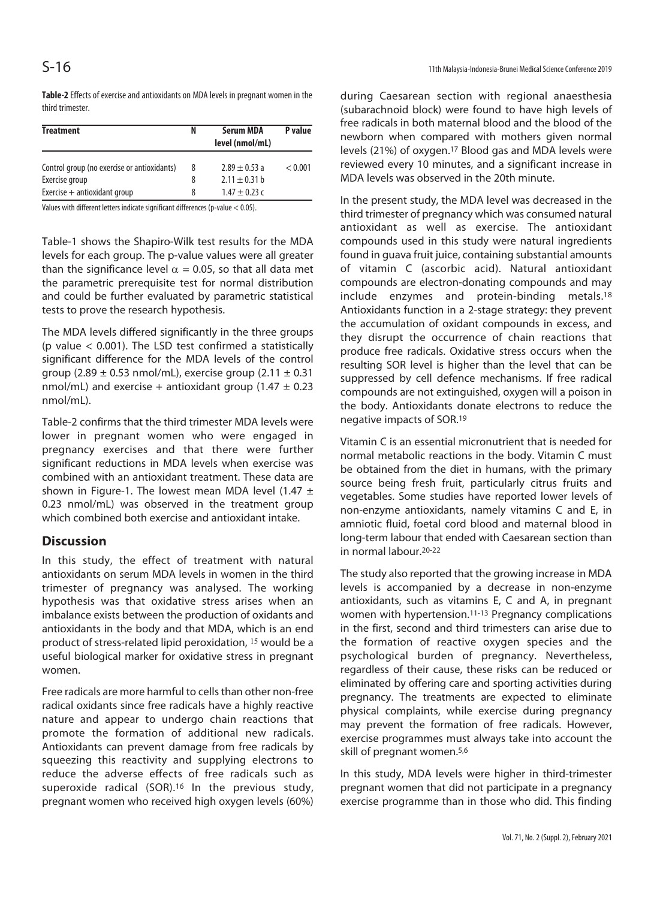**Table-2** Effects of exercise and antioxidants on MDA levels in pregnant women in the third trimester.

| <b>Treatment</b>                            | N | <b>Serum MDA</b>  | P value |
|---------------------------------------------|---|-------------------|---------|
|                                             |   | level (nmol/mL)   |         |
| Control group (no exercise or antioxidants) | 8 | $2.89 \pm 0.53$ a | < 0.001 |
| Exercise group                              | 8 | $2.11 \pm 0.31$ b |         |
| Exercise $+$ antioxidant group              | 8 | $1.47 + 0.23c$    |         |

Values with different letters indicate significant differences (p-value < 0.05).

Table-1 shows the Shapiro-Wilk test results for the MDA levels for each group. The p-value values were all greater than the significance level  $\alpha = 0.05$ , so that all data met the parametric prerequisite test for normal distribution and could be further evaluated by parametric statistical tests to prove the research hypothesis.

The MDA levels differed significantly in the three groups (p value < 0.001). The LSD test confirmed a statistically significant difference for the MDA levels of the control group (2.89  $\pm$  0.53 nmol/mL), exercise group (2.11  $\pm$  0.31 nmol/mL) and exercise + antioxidant group (1.47  $\pm$  0.23 nmol/mL).

Table-2 confirms that the third trimester MDA levels were lower in pregnant women who were engaged in pregnancy exercises and that there were further significant reductions in MDA levels when exercise was combined with an antioxidant treatment. These data are shown in Figure-1. The lowest mean MDA level  $(1.47 \pm 1)$ 0.23 nmol/mL) was observed in the treatment group which combined both exercise and antioxidant intake.

# **Discussion**

In this study, the effect of treatment with natural antioxidants on serum MDA levels in women in the third trimester of pregnancy was analysed. The working hypothesis was that oxidative stress arises when an imbalance exists between the production of oxidants and antioxidants in the body and that MDA, which is an end product of stress-related lipid peroxidation, <sup>15</sup> would be a useful biological marker for oxidative stress in pregnant women.

Free radicals are more harmful to cells than other non-free radical oxidants since free radicals have a highly reactive nature and appear to undergo chain reactions that promote the formation of additional new radicals. Antioxidants can prevent damage from free radicals by squeezing this reactivity and supplying electrons to reduce the adverse effects of free radicals such as superoxide radical (SOR).<sup>16</sup> In the previous study, pregnant women who received high oxygen levels (60%)

during Caesarean section with regional anaesthesia (subarachnoid block) were found to have high levels of free radicals in both maternal blood and the blood of the newborn when compared with mothers given normal levels (21%) of oxygen.17 Blood gas and MDA levels were reviewed every 10 minutes, and a significant increase in MDA levels was observed in the 20th minute.

In the present study, the MDA level was decreased in the third trimester of pregnancy which was consumed natural antioxidant as well as exercise. The antioxidant compounds used in this study were natural ingredients found in guava fruit juice, containing substantial amounts of vitamin C (ascorbic acid). Natural antioxidant compounds are electron-donating compounds and may include enzymes and protein-binding metals.18 Antioxidants function in a 2-stage strategy: they prevent the accumulation of oxidant compounds in excess, and they disrupt the occurrence of chain reactions that produce free radicals. Oxidative stress occurs when the resulting SOR level is higher than the level that can be suppressed by cell defence mechanisms. If free radical compounds are not extinguished, oxygen will a poison in the body. Antioxidants donate electrons to reduce the negative impacts of SOR.19

Vitamin C is an essential micronutrient that is needed for normal metabolic reactions in the body. Vitamin C must be obtained from the diet in humans, with the primary source being fresh fruit, particularly citrus fruits and vegetables. Some studies have reported lower levels of non-enzyme antioxidants, namely vitamins C and E, in amniotic fluid, foetal cord blood and maternal blood in long-term labour that ended with Caesarean section than in normal labour.20-22

The study also reported that the growing increase in MDA levels is accompanied by a decrease in non-enzyme antioxidants, such as vitamins E, C and A, in pregnant women with hypertension.11-13 Pregnancy complications in the first, second and third trimesters can arise due to the formation of reactive oxygen species and the psychological burden of pregnancy. Nevertheless, regardless of their cause, these risks can be reduced or eliminated by offering care and sporting activities during pregnancy. The treatments are expected to eliminate physical complaints, while exercise during pregnancy may prevent the formation of free radicals. However, exercise programmes must always take into account the skill of pregnant women.5,6

In this study, MDA levels were higher in third-trimester pregnant women that did not participate in a pregnancy exercise programme than in those who did. This finding